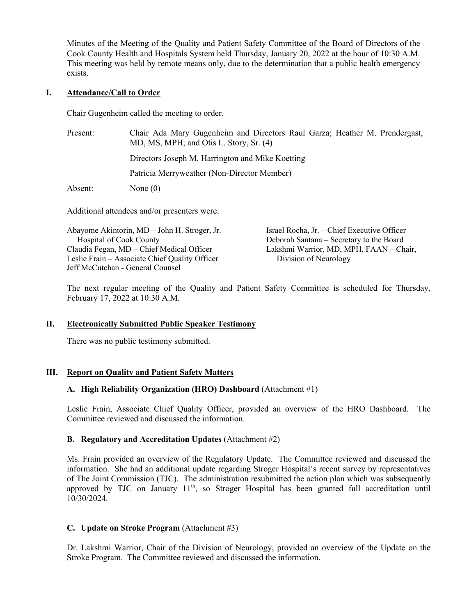Minutes of the Meeting of the Quality and Patient Safety Committee of the Board of Directors of the Cook County Health and Hospitals System held Thursday, January 20, 2022 at the hour of 10:30 A.M. This meeting was held by remote means only, due to the determination that a public health emergency exists.

### **I. Attendance/Call to Order**

Chair Gugenheim called the meeting to order.

| Present: | Chair Ada Mary Gugenheim and Directors Raul Garza; Heather M. Prendergast,<br>MD, MS, MPH; and Otis L. Story, Sr. (4) |  |
|----------|-----------------------------------------------------------------------------------------------------------------------|--|
|          | Directors Joseph M. Harrington and Mike Koetting                                                                      |  |
|          | Patricia Merryweather (Non-Director Member)                                                                           |  |
| Absent:  | None $(0)$                                                                                                            |  |

Additional attendees and/or presenters were:

| Abayome Akintorin, MD - John H. Stroger, Jr.   | Israel Rocha, Jr. – Chief Executive Officer |
|------------------------------------------------|---------------------------------------------|
| <b>Hospital of Cook County</b>                 | Deborah Santana – Secretary to the Board    |
| Claudia Fegan, MD – Chief Medical Officer      | Lakshmi Warrior, MD, MPH, FAAN - Chair,     |
| Leslie Frain – Associate Chief Quality Officer | Division of Neurology                       |
| Jeff McCutchan - General Counsel               |                                             |

The next regular meeting of the Quality and Patient Safety Committee is scheduled for Thursday, February 17, 2022 at 10:30 A.M.

### **II. Electronically Submitted Public Speaker Testimony**

There was no public testimony submitted.

### **III. Report on Quality and Patient Safety Matters**

### **A. High Reliability Organization (HRO) Dashboard** (Attachment #1)

Leslie Frain, Associate Chief Quality Officer, provided an overview of the HRO Dashboard. The Committee reviewed and discussed the information.

### **B. Regulatory and Accreditation Updates** (Attachment #2)

Ms. Frain provided an overview of the Regulatory Update. The Committee reviewed and discussed the information. She had an additional update regarding Stroger Hospital's recent survey by representatives of The Joint Commission (TJC). The administration resubmitted the action plan which was subsequently approved by TJC on January 11<sup>th</sup>, so Stroger Hospital has been granted full accreditation until  $10/30/2024$ .

### **C. Update on Stroke Program** (Attachment #3)

Dr. Lakshmi Warrior, Chair of the Division of Neurology, provided an overview of the Update on the Stroke Program. The Committee reviewed and discussed the information.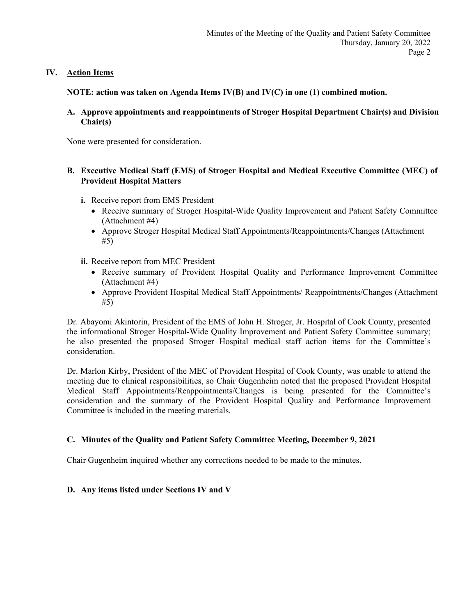## **IV. Action Items**

**NOTE: action was taken on Agenda Items IV(B) and IV(C) in one (1) combined motion.**

**A. Approve appointments and reappointments of Stroger Hospital Department Chair(s) and Division Chair(s)**

None were presented for consideration.

### **B. Executive Medical Staff (EMS) of Stroger Hospital and Medical Executive Committee (MEC) of Provident Hospital Matters**

- **i.** Receive report from EMS President
	- Receive summary of Stroger Hospital-Wide Quality Improvement and Patient Safety Committee (Attachment #4)
	- Approve Stroger Hospital Medical Staff Appointments/Reappointments/Changes (Attachment #5)
- **ii.** Receive report from MEC President
	- Receive summary of Provident Hospital Quality and Performance Improvement Committee (Attachment #4)
	- Approve Provident Hospital Medical Staff Appointments/ Reappointments/Changes (Attachment #5)

Dr. Abayomi Akintorin, President of the EMS of John H. Stroger, Jr. Hospital of Cook County, presented the informational Stroger Hospital-Wide Quality Improvement and Patient Safety Committee summary; he also presented the proposed Stroger Hospital medical staff action items for the Committee's consideration.

Dr. Marlon Kirby, President of the MEC of Provident Hospital of Cook County, was unable to attend the meeting due to clinical responsibilities, so Chair Gugenheim noted that the proposed Provident Hospital Medical Staff Appointments/Reappointments/Changes is being presented for the Committee's consideration and the summary of the Provident Hospital Quality and Performance Improvement Committee is included in the meeting materials.

# **C. Minutes of the Quality and Patient Safety Committee Meeting, December 9, 2021**

Chair Gugenheim inquired whether any corrections needed to be made to the minutes.

### **D. Any items listed under Sections IV and V**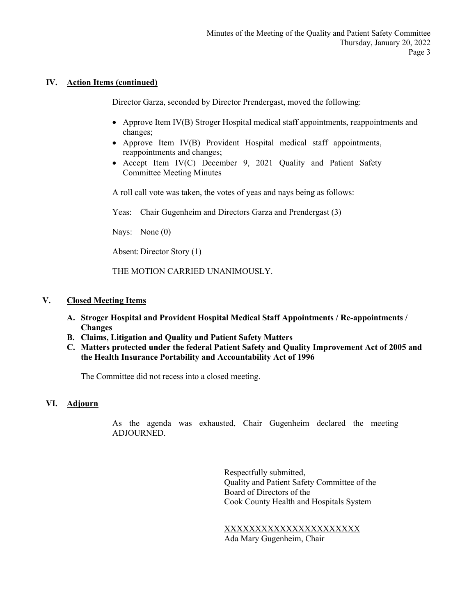### **IV. Action Items (continued)**

Director Garza, seconded by Director Prendergast, moved the following:

- Approve Item IV(B) Stroger Hospital medical staff appointments, reappointments and changes;
- Approve Item IV(B) Provident Hospital medical staff appointments, reappointments and changes;
- Accept Item IV(C) December 9, 2021 Quality and Patient Safety Committee Meeting Minutes

A roll call vote was taken, the votes of yeas and nays being as follows:

Yeas: Chair Gugenheim and Directors Garza and Prendergast (3)

Nays: None (0)

Absent: Director Story (1)

THE MOTION CARRIED UNANIMOUSLY.

### **V. Closed Meeting Items**

- **A. Stroger Hospital and Provident Hospital Medical Staff Appointments / Re-appointments / Changes**
- **B. Claims, Litigation and Quality and Patient Safety Matters**
- **C. Matters protected under the federal Patient Safety and Quality Improvement Act of 2005 and the Health Insurance Portability and Accountability Act of 1996**

The Committee did not recess into a closed meeting.

# **VI. Adjourn**

As the agenda was exhausted, Chair Gugenheim declared the meeting ADJOURNED.

> Respectfully submitted, Quality and Patient Safety Committee of the Board of Directors of the Cook County Health and Hospitals System

XXXXXXXXXXXXXXXXXXXXXX Ada Mary Gugenheim, Chair